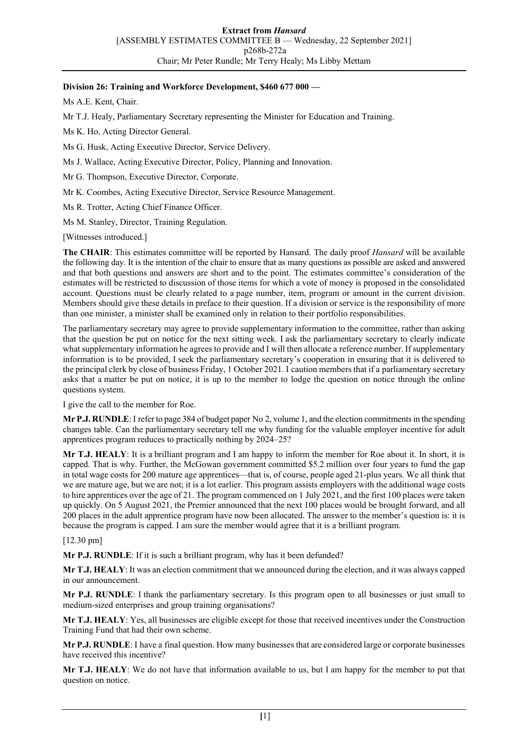## **Division 26: Training and Workforce Development, \$460 677 000 —**

Ms A.E. Kent, Chair.

Mr T.J. Healy, Parliamentary Secretary representing the Minister for Education and Training.

Ms K. Ho, Acting Director General.

Ms G. Husk, Acting Executive Director, Service Delivery.

Ms J. Wallace, Acting Executive Director, Policy, Planning and Innovation.

Mr G. Thompson, Executive Director, Corporate.

Mr K. Coombes, Acting Executive Director, Service Resource Management.

Ms R. Trotter, Acting Chief Finance Officer.

Ms M. Stanley, Director, Training Regulation.

[Witnesses introduced.]

**The CHAIR**: This estimates committee will be reported by Hansard. The daily proof *Hansard* will be available the following day. It is the intention of the chair to ensure that as many questions as possible are asked and answered and that both questions and answers are short and to the point. The estimates committee's consideration of the estimates will be restricted to discussion of those items for which a vote of money is proposed in the consolidated account. Questions must be clearly related to a page number, item, program or amount in the current division. Members should give these details in preface to their question. If a division or service is the responsibility of more than one minister, a minister shall be examined only in relation to their portfolio responsibilities.

The parliamentary secretary may agree to provide supplementary information to the committee, rather than asking that the question be put on notice for the next sitting week. I ask the parliamentary secretary to clearly indicate what supplementary information he agrees to provide and I will then allocate a reference number. If supplementary information is to be provided, I seek the parliamentary secretary's cooperation in ensuring that it is delivered to the principal clerk by close of business Friday, 1 October 2021. I caution members that if a parliamentary secretary asks that a matter be put on notice, it is up to the member to lodge the question on notice through the online questions system.

I give the call to the member for Roe.

**Mr P.J. RUNDLE**: I refer to page 384 of budget paper No 2, volume 1, and the election commitments in the spending changes table. Can the parliamentary secretary tell me why funding for the valuable employer incentive for adult apprentices program reduces to practically nothing by 2024–25?

**Mr T.J. HEALY**: It is a brilliant program and I am happy to inform the member for Roe about it. In short, it is capped. That is why. Further, the McGowan government committed \$5.2 million over four years to fund the gap in total wage costs for 200 mature age apprentices—that is, of course, people aged 21-plus years. We all think that we are mature age, but we are not; it is a lot earlier. This program assists employers with the additional wage costs to hire apprentices over the age of 21. The program commenced on 1 July 2021, and the first 100 places were taken up quickly. On 5 August 2021, the Premier announced that the next 100 places would be brought forward, and all 200 places in the adult apprentice program have now been allocated. The answer to the member's question is: it is because the program is capped. I am sure the member would agree that it is a brilliant program.

[12.30 pm]

**Mr P.J. RUNDLE**: If it is such a brilliant program, why has it been defunded?

**Mr T.J. HEALY**: It was an election commitment that we announced during the election, and it was always capped in our announcement.

**Mr P.J. RUNDLE**: I thank the parliamentary secretary. Is this program open to all businesses or just small to medium-sized enterprises and group training organisations?

**Mr T.J. HEALY**: Yes, all businesses are eligible except for those that received incentives under the Construction Training Fund that had their own scheme.

**Mr P.J. RUNDLE**: I have a final question. How many businesses that are considered large or corporate businesses have received this incentive?

**Mr T.J. HEALY**: We do not have that information available to us, but I am happy for the member to put that question on notice.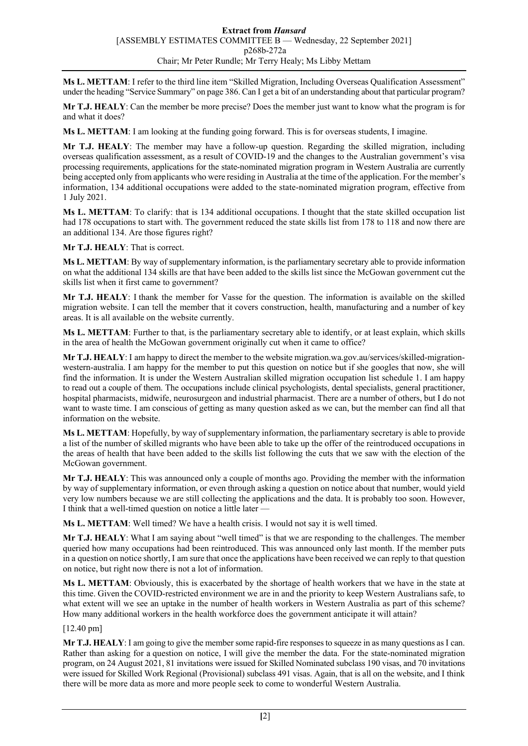**Ms L. METTAM**: I refer to the third line item "Skilled Migration, Including Overseas Qualification Assessment" under the heading "Service Summary" on page 386. Can I get a bit of an understanding about that particular program?

**Mr T.J. HEALY**: Can the member be more precise? Does the member just want to know what the program is for and what it does?

**Ms L. METTAM**: I am looking at the funding going forward. This is for overseas students, I imagine.

**Mr T.J. HEALY**: The member may have a follow-up question. Regarding the skilled migration, including overseas qualification assessment, as a result of COVID-19 and the changes to the Australian government's visa processing requirements, applications for the state-nominated migration program in Western Australia are currently being accepted only from applicants who were residing in Australia at the time of the application. For the member's information, 134 additional occupations were added to the state-nominated migration program, effective from 1 July 2021.

**Ms L. METTAM**: To clarify: that is 134 additional occupations. I thought that the state skilled occupation list had 178 occupations to start with. The government reduced the state skills list from 178 to 118 and now there are an additional 134. Are those figures right?

**Mr T.J. HEALY**: That is correct.

**Ms L. METTAM**: By way of supplementary information, is the parliamentary secretary able to provide information on what the additional 134 skills are that have been added to the skills list since the McGowan government cut the skills list when it first came to government?

**Mr T.J. HEALY**: I thank the member for Vasse for the question. The information is available on the skilled migration website. I can tell the member that it covers construction, health, manufacturing and a number of key areas. It is all available on the website currently.

**Ms L. METTAM**: Further to that, is the parliamentary secretary able to identify, or at least explain, which skills in the area of health the McGowan government originally cut when it came to office?

**Mr T.J. HEALY**: I am happy to direct the member to the website migration.wa.gov.au/services/skilled-migrationwestern-australia. I am happy for the member to put this question on notice but if she googles that now, she will find the information. It is under the Western Australian skilled migration occupation list schedule 1. I am happy to read out a couple of them. The occupations include clinical psychologists, dental specialists, general practitioner, hospital pharmacists, midwife, neurosurgeon and industrial pharmacist. There are a number of others, but I do not want to waste time. I am conscious of getting as many question asked as we can, but the member can find all that information on the website.

**Ms L. METTAM**: Hopefully, by way of supplementary information, the parliamentary secretary is able to provide a list of the number of skilled migrants who have been able to take up the offer of the reintroduced occupations in the areas of health that have been added to the skills list following the cuts that we saw with the election of the McGowan government.

**Mr T.J. HEALY**: This was announced only a couple of months ago. Providing the member with the information by way of supplementary information, or even through asking a question on notice about that number, would yield very low numbers because we are still collecting the applications and the data. It is probably too soon. However, I think that a well-timed question on notice a little later —

**Ms L. METTAM**: Well timed? We have a health crisis. I would not say it is well timed.

**Mr T.J. HEALY**: What I am saying about "well timed" is that we are responding to the challenges. The member queried how many occupations had been reintroduced. This was announced only last month. If the member puts in a question on notice shortly, I am sure that once the applications have been received we can reply to that question on notice, but right now there is not a lot of information.

**Ms L. METTAM**: Obviously, this is exacerbated by the shortage of health workers that we have in the state at this time. Given the COVID-restricted environment we are in and the priority to keep Western Australians safe, to what extent will we see an uptake in the number of health workers in Western Australia as part of this scheme? How many additional workers in the health workforce does the government anticipate it will attain?

[12.40 pm]

**Mr T.J. HEALY**: I am going to give the member some rapid-fire responses to squeeze in as many questions as I can. Rather than asking for a question on notice, I will give the member the data. For the state-nominated migration program, on 24 August 2021, 81 invitations were issued for Skilled Nominated subclass 190 visas, and 70 invitations were issued for Skilled Work Regional (Provisional) subclass 491 visas. Again, that is all on the website, and I think there will be more data as more and more people seek to come to wonderful Western Australia.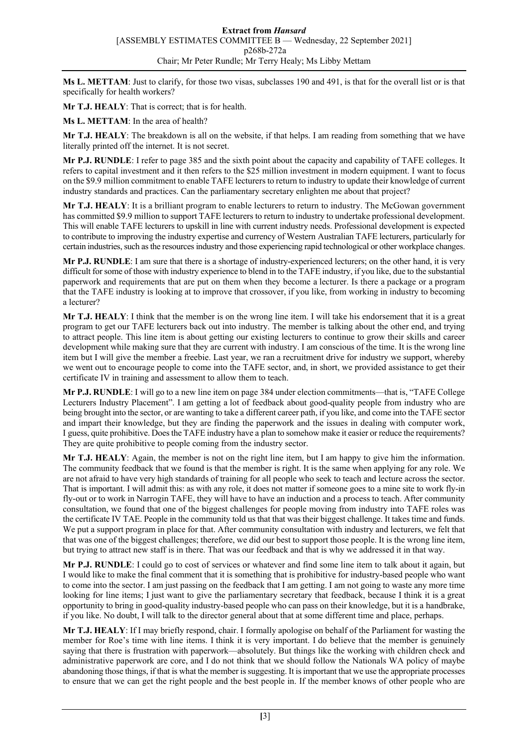**Ms L. METTAM**: Just to clarify, for those two visas, subclasses 190 and 491, is that for the overall list or is that specifically for health workers?

**Mr T.J. HEALY**: That is correct; that is for health.

**Ms L. METTAM**: In the area of health?

**Mr T.J. HEALY**: The breakdown is all on the website, if that helps. I am reading from something that we have literally printed off the internet. It is not secret.

**Mr P.J. RUNDLE**: I refer to page 385 and the sixth point about the capacity and capability of TAFE colleges. It refers to capital investment and it then refers to the \$25 million investment in modern equipment. I want to focus on the \$9.9 million commitment to enable TAFE lecturers to return to industry to update their knowledge of current industry standards and practices. Can the parliamentary secretary enlighten me about that project?

**Mr T.J. HEALY**: It is a brilliant program to enable lecturers to return to industry. The McGowan government has committed \$9.9 million to support TAFE lecturers to return to industry to undertake professional development. This will enable TAFE lecturers to upskill in line with current industry needs. Professional development is expected to contribute to improving the industry expertise and currency of Western Australian TAFE lecturers, particularly for certain industries, such as the resources industry and those experiencing rapid technological or other workplace changes.

**Mr P.J. RUNDLE**: I am sure that there is a shortage of industry-experienced lecturers; on the other hand, it is very difficult for some of those with industry experience to blend in to the TAFE industry, if you like, due to the substantial paperwork and requirements that are put on them when they become a lecturer. Is there a package or a program that the TAFE industry is looking at to improve that crossover, if you like, from working in industry to becoming a lecturer?

**Mr T.J. HEALY**: I think that the member is on the wrong line item. I will take his endorsement that it is a great program to get our TAFE lecturers back out into industry. The member is talking about the other end, and trying to attract people. This line item is about getting our existing lecturers to continue to grow their skills and career development while making sure that they are current with industry. I am conscious of the time. It is the wrong line item but I will give the member a freebie. Last year, we ran a recruitment drive for industry we support, whereby we went out to encourage people to come into the TAFE sector, and, in short, we provided assistance to get their certificate IV in training and assessment to allow them to teach.

**Mr P.J. RUNDLE**: I will go to a new line item on page 384 under election commitments—that is, "TAFE College Lecturers Industry Placement". I am getting a lot of feedback about good-quality people from industry who are being brought into the sector, or are wanting to take a different career path, if you like, and come into the TAFE sector and impart their knowledge, but they are finding the paperwork and the issues in dealing with computer work, I guess, quite prohibitive. Does the TAFE industry have a plan to somehow make it easier or reduce the requirements? They are quite prohibitive to people coming from the industry sector.

**Mr T.J. HEALY**: Again, the member is not on the right line item, but I am happy to give him the information. The community feedback that we found is that the member is right. It is the same when applying for any role. We are not afraid to have very high standards of training for all people who seek to teach and lecture across the sector. That is important. I will admit this: as with any role, it does not matter if someone goes to a mine site to work fly-in fly-out or to work in Narrogin TAFE, they will have to have an induction and a process to teach. After community consultation, we found that one of the biggest challenges for people moving from industry into TAFE roles was the certificate IV TAE. People in the community told us that that was their biggest challenge. It takes time and funds. We put a support program in place for that. After community consultation with industry and lecturers, we felt that that was one of the biggest challenges; therefore, we did our best to support those people. It is the wrong line item, but trying to attract new staff is in there. That was our feedback and that is why we addressed it in that way.

**Mr P.J. RUNDLE**: I could go to cost of services or whatever and find some line item to talk about it again, but I would like to make the final comment that it is something that is prohibitive for industry-based people who want to come into the sector. I am just passing on the feedback that I am getting. I am not going to waste any more time looking for line items; I just want to give the parliamentary secretary that feedback, because I think it is a great opportunity to bring in good-quality industry-based people who can pass on their knowledge, but it is a handbrake, if you like. No doubt, I will talk to the director general about that at some different time and place, perhaps.

**Mr T.J. HEALY**: If I may briefly respond, chair. I formally apologise on behalf of the Parliament for wasting the member for Roe's time with line items. I think it is very important. I do believe that the member is genuinely saying that there is frustration with paperwork—absolutely. But things like the working with children check and administrative paperwork are core, and I do not think that we should follow the Nationals WA policy of maybe abandoning those things, if that is what the member is suggesting. It is important that we use the appropriate processes to ensure that we can get the right people and the best people in. If the member knows of other people who are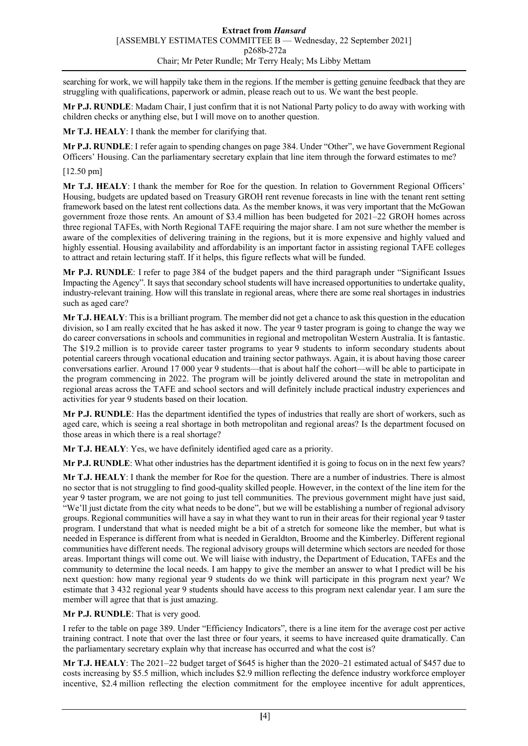searching for work, we will happily take them in the regions. If the member is getting genuine feedback that they are struggling with qualifications, paperwork or admin, please reach out to us. We want the best people.

**Mr P.J. RUNDLE**: Madam Chair, I just confirm that it is not National Party policy to do away with working with children checks or anything else, but I will move on to another question.

**Mr T.J. HEALY**: I thank the member for clarifying that.

**Mr P.J. RUNDLE**: I refer again to spending changes on page 384. Under "Other", we have Government Regional Officers' Housing. Can the parliamentary secretary explain that line item through the forward estimates to me?

## [12.50 pm]

**Mr T.J. HEALY**: I thank the member for Roe for the question. In relation to Government Regional Officers' Housing, budgets are updated based on Treasury GROH rent revenue forecasts in line with the tenant rent setting framework based on the latest rent collections data. As the member knows, it was very important that the McGowan government froze those rents. An amount of \$3.4 million has been budgeted for 2021–22 GROH homes across three regional TAFEs, with North Regional TAFE requiring the major share. I am not sure whether the member is aware of the complexities of delivering training in the regions, but it is more expensive and highly valued and highly essential. Housing availability and affordability is an important factor in assisting regional TAFE colleges to attract and retain lecturing staff. If it helps, this figure reflects what will be funded.

**Mr P.J. RUNDLE**: I refer to page 384 of the budget papers and the third paragraph under "Significant Issues Impacting the Agency". It says that secondary school students will have increased opportunities to undertake quality, industry-relevant training. How will this translate in regional areas, where there are some real shortages in industries such as aged care?

**Mr T.J. HEALY**: This is a brilliant program. The member did not get a chance to ask this question in the education division, so I am really excited that he has asked it now. The year 9 taster program is going to change the way we do career conversations in schools and communities in regional and metropolitan Western Australia. It is fantastic. The \$19.2 million is to provide career taster programs to year 9 students to inform secondary students about potential careers through vocational education and training sector pathways. Again, it is about having those career conversations earlier. Around 17 000 year 9 students—that is about half the cohort—will be able to participate in the program commencing in 2022. The program will be jointly delivered around the state in metropolitan and regional areas across the TAFE and school sectors and will definitely include practical industry experiences and activities for year 9 students based on their location.

**Mr P.J. RUNDLE**: Has the department identified the types of industries that really are short of workers, such as aged care, which is seeing a real shortage in both metropolitan and regional areas? Is the department focused on those areas in which there is a real shortage?

**Mr T.J. HEALY**: Yes, we have definitely identified aged care as a priority.

**Mr P.J. RUNDLE**: What other industries has the department identified it is going to focus on in the next few years?

**Mr T.J. HEALY**: I thank the member for Roe for the question. There are a number of industries. There is almost no sector that is not struggling to find good-quality skilled people. However, in the context of the line item for the year 9 taster program, we are not going to just tell communities. The previous government might have just said, "We'll just dictate from the city what needs to be done", but we will be establishing a number of regional advisory groups. Regional communities will have a say in what they want to run in their areas for their regional year 9 taster program. I understand that what is needed might be a bit of a stretch for someone like the member, but what is needed in Esperance is different from what is needed in Geraldton, Broome and the Kimberley. Different regional communities have different needs. The regional advisory groups will determine which sectors are needed for those areas. Important things will come out. We will liaise with industry, the Department of Education, TAFEs and the community to determine the local needs. I am happy to give the member an answer to what I predict will be his next question: how many regional year 9 students do we think will participate in this program next year? We estimate that 3 432 regional year 9 students should have access to this program next calendar year. I am sure the member will agree that that is just amazing.

## **Mr P.J. RUNDLE**: That is very good.

I refer to the table on page 389. Under "Efficiency Indicators", there is a line item for the average cost per active training contract. I note that over the last three or four years, it seems to have increased quite dramatically. Can the parliamentary secretary explain why that increase has occurred and what the cost is?

**Mr T.J. HEALY**: The 2021–22 budget target of \$645 is higher than the 2020–21 estimated actual of \$457 due to costs increasing by \$5.5 million, which includes \$2.9 million reflecting the defence industry workforce employer incentive, \$2.4 million reflecting the election commitment for the employee incentive for adult apprentices,